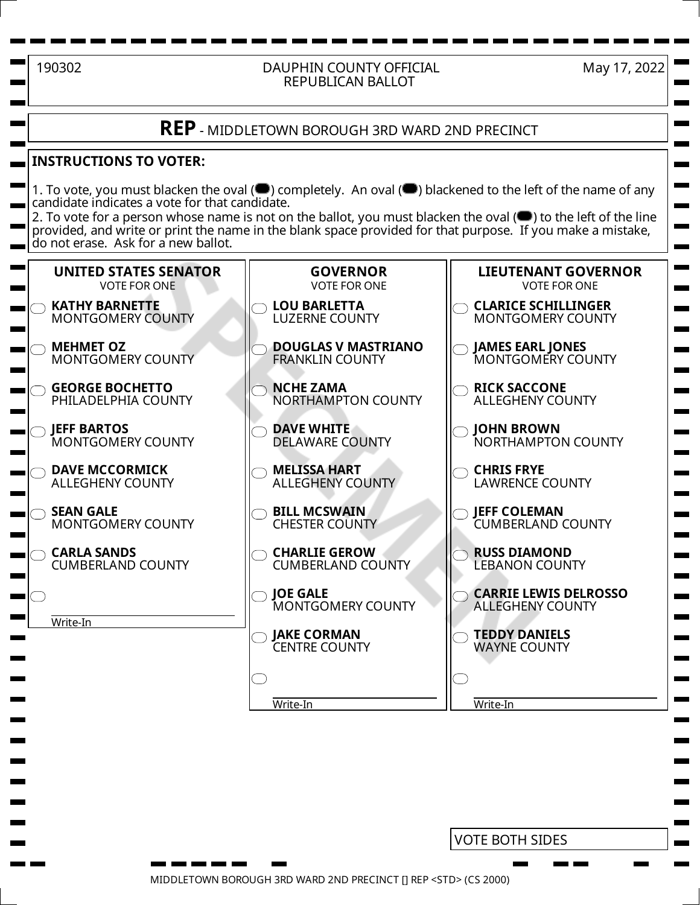## 190302 DAUPHIN COUNTY OFFICIAL REPUBLICAN BALLOT

May 17, 2022

## **REP** - MIDDLETOWN BOROUGH 3RD WARD 2ND PRECINCT

## **INSTRUCTIONS TO VOTER:**

1. To vote, you must blacken the oval (●) completely. An oval (●) blackened to the left of the name of any candidate indicates a vote for that candidate.

2. To vote for a person whose name is not on the ballot, you must blacken the oval  $($ **)** to the left of the line provided, and write or print the name in the blank space provided for that purpose. If you make a mistake, do not erase. Ask for a new ballot.



VOTE BOTH SIDES